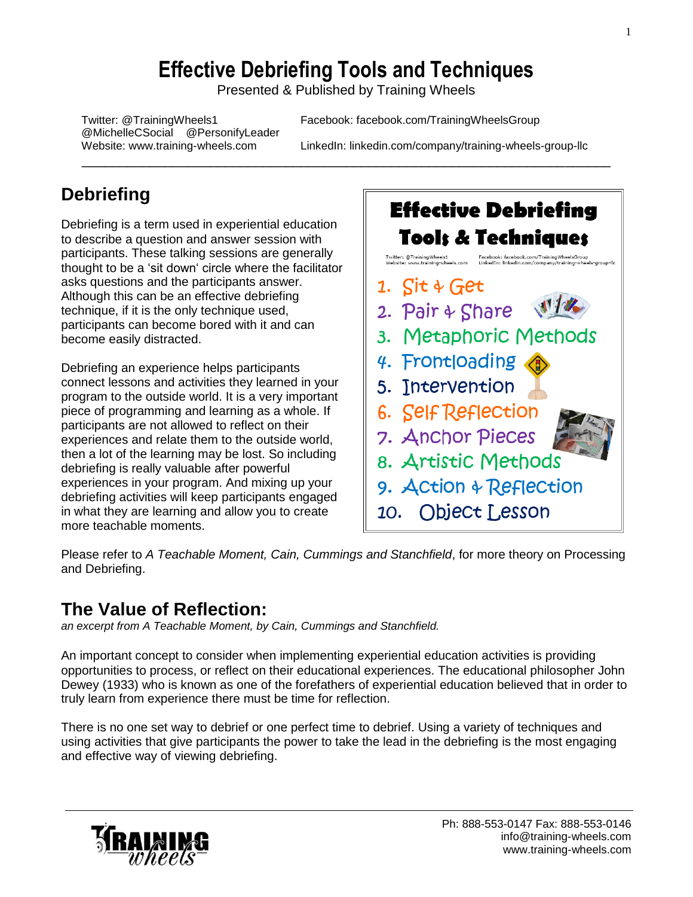# **Effective Debriefing Tools and Techniques**

Presented & Published by Training Wheels

\_\_\_\_\_\_\_\_\_\_\_\_\_\_\_\_\_\_\_\_\_\_\_\_\_\_\_\_\_\_\_\_\_\_\_\_\_\_\_\_\_\_\_\_\_\_\_\_\_\_\_\_\_\_\_\_\_\_\_\_\_\_\_\_\_\_\_\_\_\_

@MichelleCSocial @PersonifyLeader

Twitter: @TrainingWheels1 Facebook: facebook.com/TrainingWheelsGroup

Website: www.training-wheels.com LinkedIn: linkedin.com/company/training-wheels-group-llc

# **Debriefing**

Debriefing is a term used in experiential education to describe a question and answer session with participants. These talking sessions are generally thought to be a 'sit down' circle where the facilitator asks questions and the participants answer. Although this can be an effective debriefing technique, if it is the only technique used, participants can become bored with it and can become easily distracted.

Debriefing an experience helps participants connect lessons and activities they learned in your program to the outside world. It is a very important piece of programming and learning as a whole. If participants are not allowed to reflect on their experiences and relate them to the outside world, then a lot of the learning may be lost. So including debriefing is really valuable after powerful experiences in your program. And mixing up your debriefing activities will keep participants engaged in what they are learning and allow you to create more teachable moments.

# **Effective Debriefing Tools & Techniques** Facebook: facebook.com/TrainingWh Twitter: @TrainingWheels1<br>Wabaitar : www.tarining.charl 1.  $\int$ it  $\oint$  Get 2. Pair & Share 3. Metaphoric Methods 4. Frontloading 5. Intervention 6. Self Reflection 7. Anchor Pieces 8. Artistic Methods 9. Action & Reflection 10. Object Lesson

Please refer to *A Teachable Moment, Cain, Cummings and Stanchfield*, for more theory on Processing and Debriefing.

## **The Value of Reflection:**

*an excerpt from A Teachable Moment, by Cain, Cummings and Stanchfield.* 

An important concept to consider when implementing experiential education activities is providing opportunities to process, or reflect on their educational experiences. The educational philosopher John Dewey (1933) who is known as one of the forefathers of experiential education believed that in order to truly learn from experience there must be time for reflection.

There is no one set way to debrief or one perfect time to debrief. Using a variety of techniques and using activities that give participants the power to take the lead in the debriefing is the most engaging and effective way of viewing debriefing.

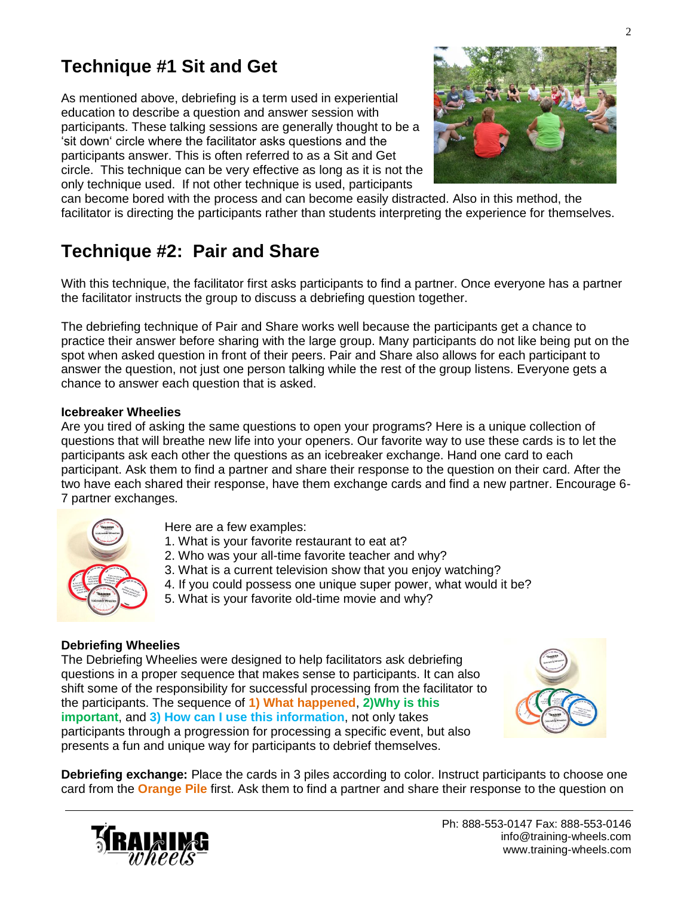# **Technique #1 Sit and Get**

As mentioned above, debriefing is a term used in experiential education to describe a question and answer session with participants. These talking sessions are generally thought to be a 'sit down' circle where the facilitator asks questions and the participants answer. This is often referred to as a Sit and Get circle. This technique can be very effective as long as it is not the only technique used. If not other technique is used, participants



can become bored with the process and can become easily distracted. Also in this method, the facilitator is directing the participants rather than students interpreting the experience for themselves.

### **Technique #2: Pair and Share**

With this technique, the facilitator first asks participants to find a partner. Once everyone has a partner the facilitator instructs the group to discuss a debriefing question together.

The debriefing technique of Pair and Share works well because the participants get a chance to practice their answer before sharing with the large group. Many participants do not like being put on the spot when asked question in front of their peers. Pair and Share also allows for each participant to answer the question, not just one person talking while the rest of the group listens. Everyone gets a chance to answer each question that is asked.

#### **Icebreaker Wheelies**

Are you tired of asking the same questions to open your programs? Here is a unique collection of questions that will breathe new life into your openers. Our favorite way to use these cards is to let the participants ask each other the questions as an icebreaker exchange. Hand one card to each participant. Ask them to find a partner and share their response to the question on their card. After the two have each shared their response, have them exchange cards and find a new partner. Encourage 6- 7 partner exchanges.



- Here are a few examples:
- 1. What is your favorite restaurant to eat at?
- 2. Who was your all-time favorite teacher and why?
- 3. What is a current television show that you enjoy watching?
- 4. If you could possess one unique super power, what would it be?
- 5. What is your favorite old-time movie and why?

#### **Debriefing Wheelies**

The Debriefing Wheelies were designed to help facilitators ask debriefing questions in a proper sequence that makes sense to participants. It can also shift some of the responsibility for successful processing from the facilitator to the participants. The sequence of **1) What happened**, **2)Why is this important**, and **3) How can I use this information**, not only takes participants through a progression for processing a specific event, but also presents a fun and unique way for participants to debrief themselves.



**Debriefing exchange:** Place the cards in 3 piles according to color. Instruct participants to choose one card from the **Orange Pile** first. Ask them to find a partner and share their response to the question on

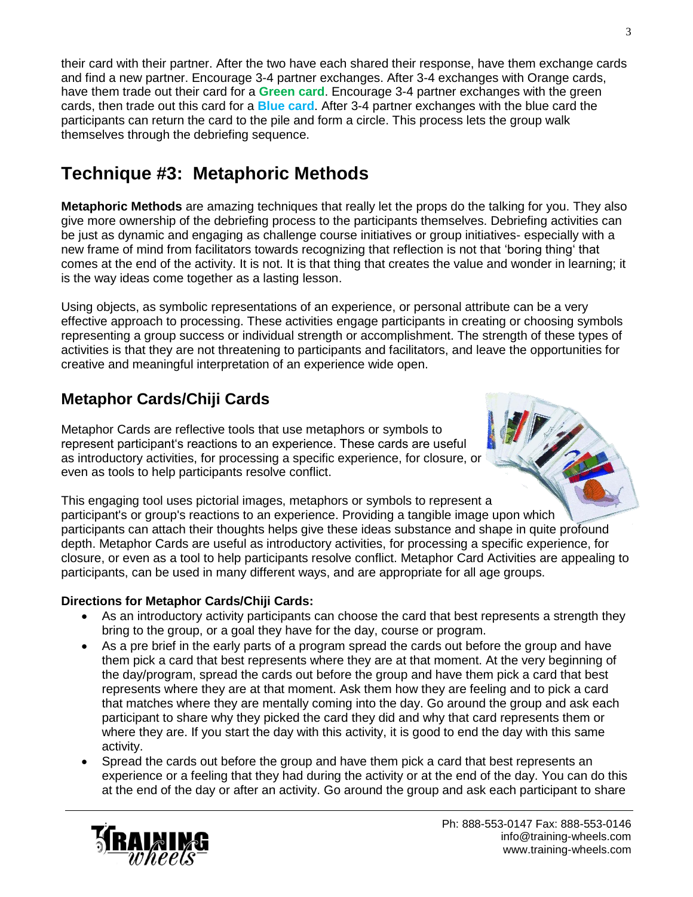their card with their partner. After the two have each shared their response, have them exchange cards and find a new partner. Encourage 3-4 partner exchanges. After 3-4 exchanges with Orange cards, have them trade out their card for a **Green card**. Encourage 3-4 partner exchanges with the green cards, then trade out this card for a **Blue card**. After 3-4 partner exchanges with the blue card the participants can return the card to the pile and form a circle. This process lets the group walk themselves through the debriefing sequence.

# **Technique #3: Metaphoric Methods**

**Metaphoric Methods** are amazing techniques that really let the props do the talking for you. They also give more ownership of the debriefing process to the participants themselves. Debriefing activities can be just as dynamic and engaging as challenge course initiatives or group initiatives- especially with a new frame of mind from facilitators towards recognizing that reflection is not that 'boring thing' that comes at the end of the activity. It is not. It is that thing that creates the value and wonder in learning; it is the way ideas come together as a lasting lesson.

Using objects, as symbolic representations of an experience, or personal attribute can be a very effective approach to processing. These activities engage participants in creating or choosing symbols representing a group success or individual strength or accomplishment. The strength of these types of activities is that they are not threatening to participants and facilitators, and leave the opportunities for creative and meaningful interpretation of an experience wide open.

### **Metaphor Cards/Chiji Cards**

Metaphor Cards are reflective tools that use metaphors or symbols to represent participant's reactions to an experience. These cards are useful as introductory activities, for processing a specific experience, for closure, or even as tools to help participants resolve conflict.

This engaging tool uses pictorial images, metaphors or symbols to represent a participant's or group's reactions to an experience. Providing a tangible image upon which participants can attach their thoughts helps give these ideas substance and shape in quite profound depth. Metaphor Cards are useful as introductory activities, for processing a specific experience, for closure, or even as a tool to help participants resolve conflict. Metaphor Card Activities are appealing to participants, can be used in many different ways, and are appropriate for all age groups.

#### **Directions for Metaphor Cards/Chiji Cards:**

- As an introductory activity participants can choose the card that best represents a strength they bring to the group, or a goal they have for the day, course or program.
- As a pre brief in the early parts of a program spread the cards out before the group and have them pick a card that best represents where they are at that moment. At the very beginning of the day/program, spread the cards out before the group and have them pick a card that best represents where they are at that moment. Ask them how they are feeling and to pick a card that matches where they are mentally coming into the day. Go around the group and ask each participant to share why they picked the card they did and why that card represents them or where they are. If you start the day with this activity, it is good to end the day with this same activity.
- Spread the cards out before the group and have them pick a card that best represents an experience or a feeling that they had during the activity or at the end of the day. You can do this at the end of the day or after an activity. Go around the group and ask each participant to share

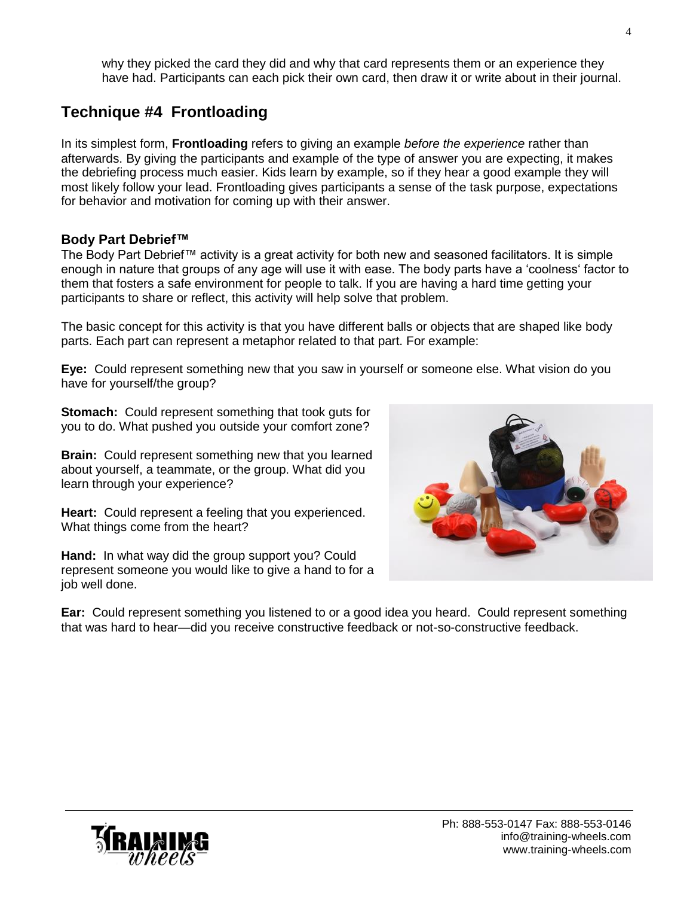why they picked the card they did and why that card represents them or an experience they have had. Participants can each pick their own card, then draw it or write about in their journal.

### **Technique #4 Frontloading**

In its simplest form, **Frontloading** refers to giving an example *before the experience* rather than afterwards. By giving the participants and example of the type of answer you are expecting, it makes the debriefing process much easier. Kids learn by example, so if they hear a good example they will most likely follow your lead. Frontloading gives participants a sense of the task purpose, expectations for behavior and motivation for coming up with their answer.

#### **Body Part Debrief™**

The Body Part Debrief™ activity is a great activity for both new and seasoned facilitators. It is simple enough in nature that groups of any age will use it with ease. The body parts have a 'coolness' factor to them that fosters a safe environment for people to talk. If you are having a hard time getting your participants to share or reflect, this activity will help solve that problem.

The basic concept for this activity is that you have different balls or objects that are shaped like body parts. Each part can represent a metaphor related to that part. For example:

**Eye:** Could represent something new that you saw in yourself or someone else. What vision do you have for yourself/the group?

**Stomach:** Could represent something that took guts for you to do. What pushed you outside your comfort zone?

**Brain:** Could represent something new that you learned about yourself, a teammate, or the group. What did you learn through your experience?

**Heart:** Could represent a feeling that you experienced. What things come from the heart?

**Hand:** In what way did the group support you? Could represent someone you would like to give a hand to for a job well done.



**Ear:** Could represent something you listened to or a good idea you heard. Could represent something that was hard to hear—did you receive constructive feedback or not-so-constructive feedback.

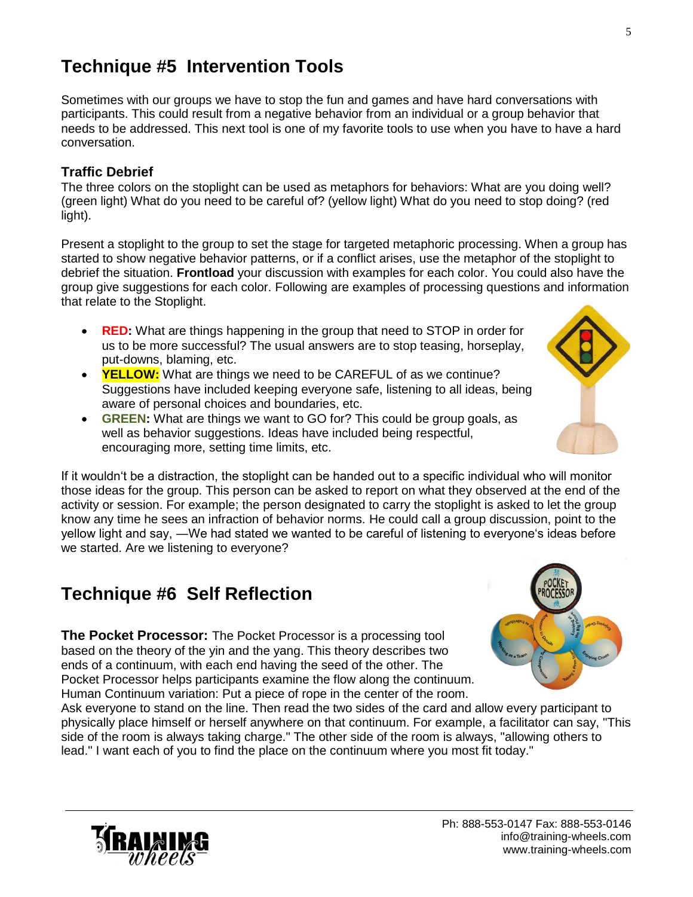# **Technique #5 Intervention Tools**

Sometimes with our groups we have to stop the fun and games and have hard conversations with participants. This could result from a negative behavior from an individual or a group behavior that needs to be addressed. This next tool is one of my favorite tools to use when you have to have a hard conversation.

#### **Traffic Debrief**

The three colors on the stoplight can be used as metaphors for behaviors: What are you doing well? (green light) What do you need to be careful of? (yellow light) What do you need to stop doing? (red light).

Present a stoplight to the group to set the stage for targeted metaphoric processing. When a group has started to show negative behavior patterns, or if a conflict arises, use the metaphor of the stoplight to debrief the situation. **Frontload** your discussion with examples for each color. You could also have the group give suggestions for each color. Following are examples of processing questions and information that relate to the Stoplight.

- **RED:** What are things happening in the group that need to STOP in order for us to be more successful? The usual answers are to stop teasing, horseplay, put-downs, blaming, etc.
- **YELLOW:** What are things we need to be CAREFUL of as we continue? Suggestions have included keeping everyone safe, listening to all ideas, being aware of personal choices and boundaries, etc.
- **GREEN:** What are things we want to GO for? This could be group goals, as well as behavior suggestions. Ideas have included being respectful, encouraging more, setting time limits, etc.

If it wouldn't be a distraction, the stoplight can be handed out to a specific individual who will monitor those ideas for the group. This person can be asked to report on what they observed at the end of the activity or session. For example; the person designated to carry the stoplight is asked to let the group know any time he sees an infraction of behavior norms. He could call a group discussion, point to the yellow light and say, ―We had stated we wanted to be careful of listening to everyone's ideas before we started. Are we listening to everyone?

## **Technique #6 Self Reflection**

**The Pocket Processor:** The Pocket Processor is a processing tool based on the theory of the yin and the yang. This theory describes two ends of a continuum, with each end having the seed of the other. The Pocket Processor helps participants examine the flow along the continuum. Human Continuum variation: Put a piece of rope in the center of the room.



Ask everyone to stand on the line. Then read the two sides of the card and allow every participant to physically place himself or herself anywhere on that continuum. For example, a facilitator can say, "This side of the room is always taking charge." The other side of the room is always, "allowing others to lead." I want each of you to find the place on the continuum where you most fit today."

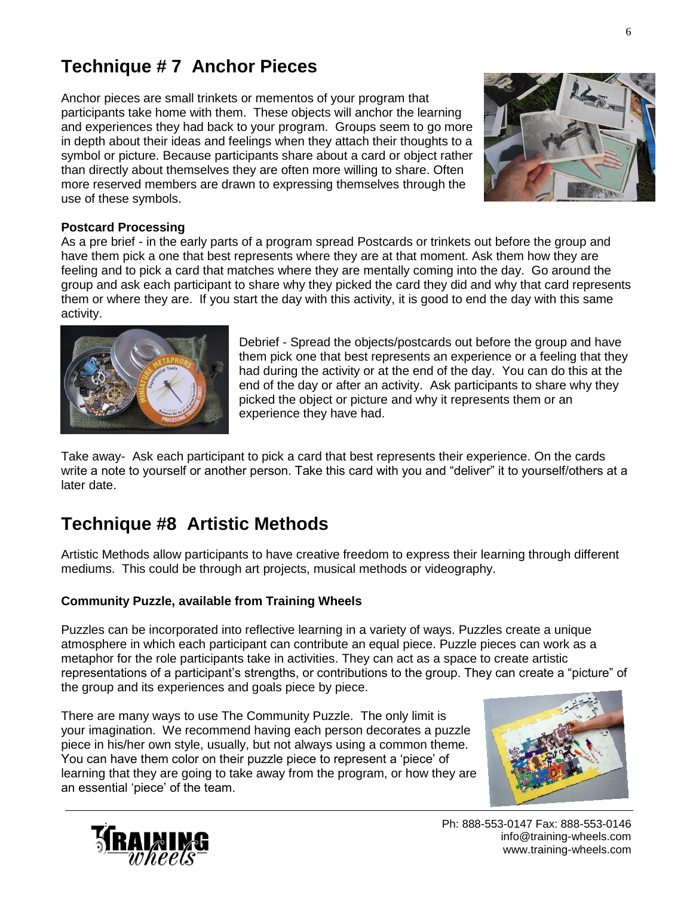# **Technique # 7 Anchor Pieces**

Anchor pieces are small trinkets or mementos of your program that participants take home with them. These objects will anchor the learning and experiences they had back to your program. Groups seem to go more in depth about their ideas and feelings when they attach their thoughts to a symbol or picture. Because participants share about a card or object rather than directly about themselves they are often more willing to share. Often more reserved members are drawn to expressing themselves through the use of these symbols.



#### **Postcard Processing**

As a pre brief - in the early parts of a program spread Postcards or trinkets out before the group and have them pick a one that best represents where they are at that moment. Ask them how they are feeling and to pick a card that matches where they are mentally coming into the day. Go around the group and ask each participant to share why they picked the card they did and why that card represents them or where they are. If you start the day with this activity, it is good to end the day with this same activity.



Debrief - Spread the objects/postcards out before the group and have them pick one that best represents an experience or a feeling that they had during the activity or at the end of the day. You can do this at the end of the day or after an activity. Ask participants to share why they picked the object or picture and why it represents them or an experience they have had.

Take away- Ask each participant to pick a card that best represents their experience. On the cards write a note to yourself or another person. Take this card with you and "deliver" it to yourself/others at a later date.

### **Technique #8 Artistic Methods**

Artistic Methods allow participants to have creative freedom to express their learning through different mediums. This could be through art projects, musical methods or videography.

#### **Community Puzzle, available from Training Wheels**

Puzzles can be incorporated into reflective learning in a variety of ways. Puzzles create a unique atmosphere in which each participant can contribute an equal piece. Puzzle pieces can work as a metaphor for the role participants take in activities. They can act as a space to create artistic representations of a participant's strengths, or contributions to the group. They can create a "picture" of the group and its experiences and goals piece by piece.

There are many ways to use The Community Puzzle. The only limit is your imagination. We recommend having each person decorates a puzzle piece in his/her own style, usually, but not always using a common theme. You can have them color on their puzzle piece to represent a 'piece' of learning that they are going to take away from the program, or how they are an essential 'piece' of the team.





Ph: 888-553-0147 Fax: 888-553-0146 [info@training-wheels.com](mailto:info@training-wheels.clm) [www.training-wheels.com](http://www.training-wheels.com/)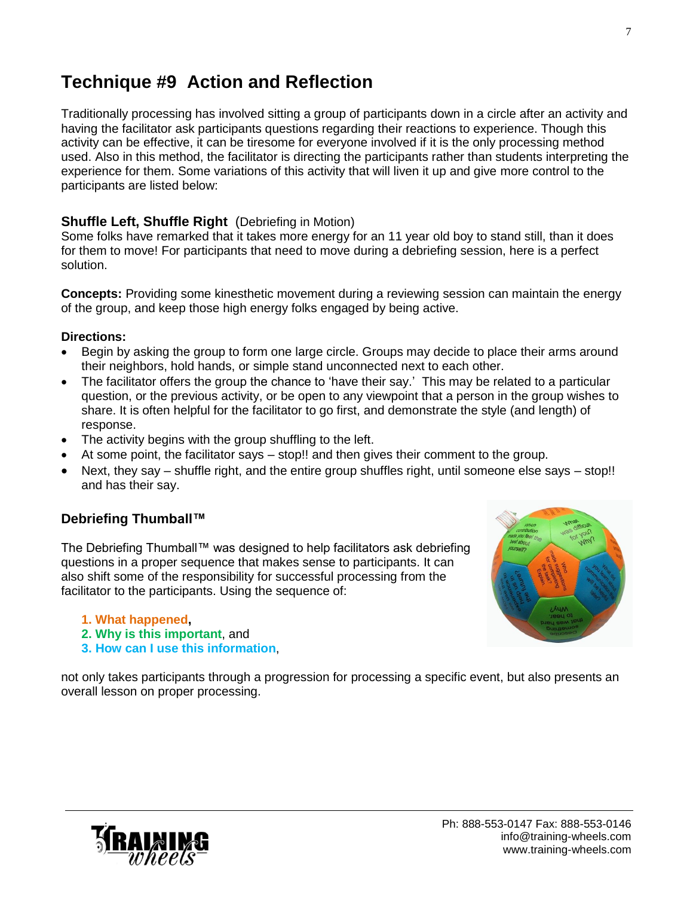### **Technique #9 Action and Reflection**

Traditionally processing has involved sitting a group of participants down in a circle after an activity and having the facilitator ask participants questions regarding their reactions to experience. Though this activity can be effective, it can be tiresome for everyone involved if it is the only processing method used. Also in this method, the facilitator is directing the participants rather than students interpreting the experience for them. Some variations of this activity that will liven it up and give more control to the participants are listed below:

#### **Shuffle Left, Shuffle Right** (Debriefing in Motion)

Some folks have remarked that it takes more energy for an 11 year old boy to stand still, than it does for them to move! For participants that need to move during a debriefing session, here is a perfect solution.

**Concepts:** Providing some kinesthetic movement during a reviewing session can maintain the energy of the group, and keep those high energy folks engaged by being active.

#### **Directions:**

- Begin by asking the group to form one large circle. Groups may decide to place their arms around their neighbors, hold hands, or simple stand unconnected next to each other.
- The facilitator offers the group the chance to 'have their say.' This may be related to a particular question, or the previous activity, or be open to any viewpoint that a person in the group wishes to share. It is often helpful for the facilitator to go first, and demonstrate the style (and length) of response.
- The activity begins with the group shuffling to the left.
- At some point, the facilitator says stop!! and then gives their comment to the group.
- Next, they say shuffle right, and the entire group shuffles right, until someone else says stop!! and has their say.

#### **Debriefing Thumball™**

The Debriefing Thumball™ was designed to help facilitators ask debriefing questions in a proper sequence that makes sense to participants. It can also shift some of the responsibility for successful processing from the facilitator to the participants. Using the sequence of:

- **1. What happened,**
- **2. Why is this important**, and
- **3. How can I use this information**,



not only takes participants through a progression for processing a specific event, but also presents an overall lesson on proper processing.

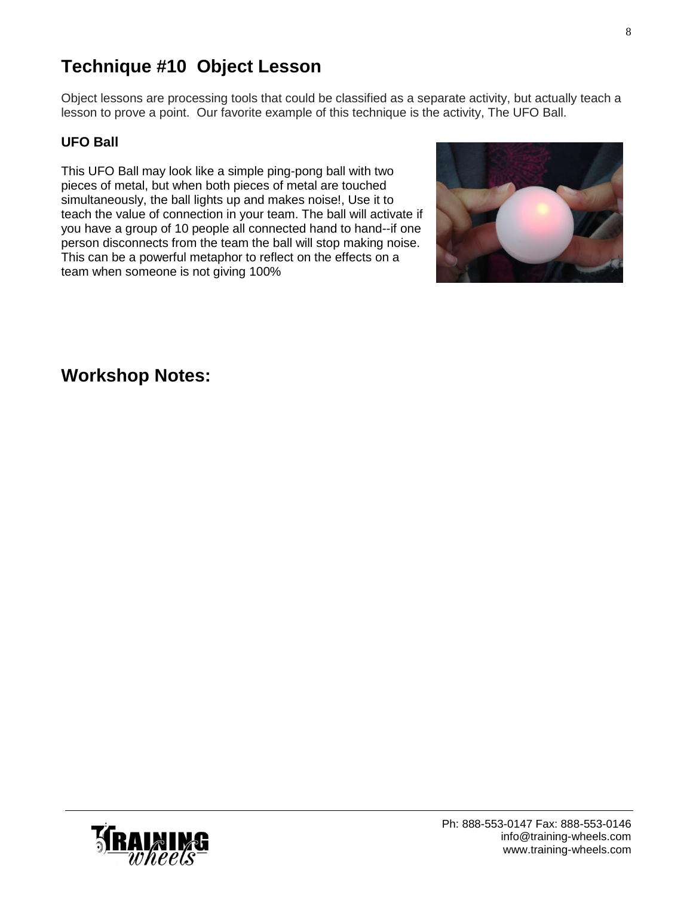[www.training-wheels.com](http://www.training-wheels.com/)

# **Technique #10 Object Lesson**

Object lessons are processing tools that could be classified as a separate activity, but actually teach a lesson to prove a point. Our favorite example of this technique is the activity, The UFO Ball.

### **UFO Ball**

This UFO Ball may look like a simple ping-pong ball with two pieces of metal, but when both pieces of metal are touched simultaneously, the ball lights up and makes noise!, Use it to teach the value of connection in your team. The ball will activate if you have a group of 10 people all connected hand to hand--if one person disconnects from the team the ball will stop making noise. This can be a powerful metaphor to reflect on the effects on a team when someone is not giving 100%

### **Workshop Notes:**



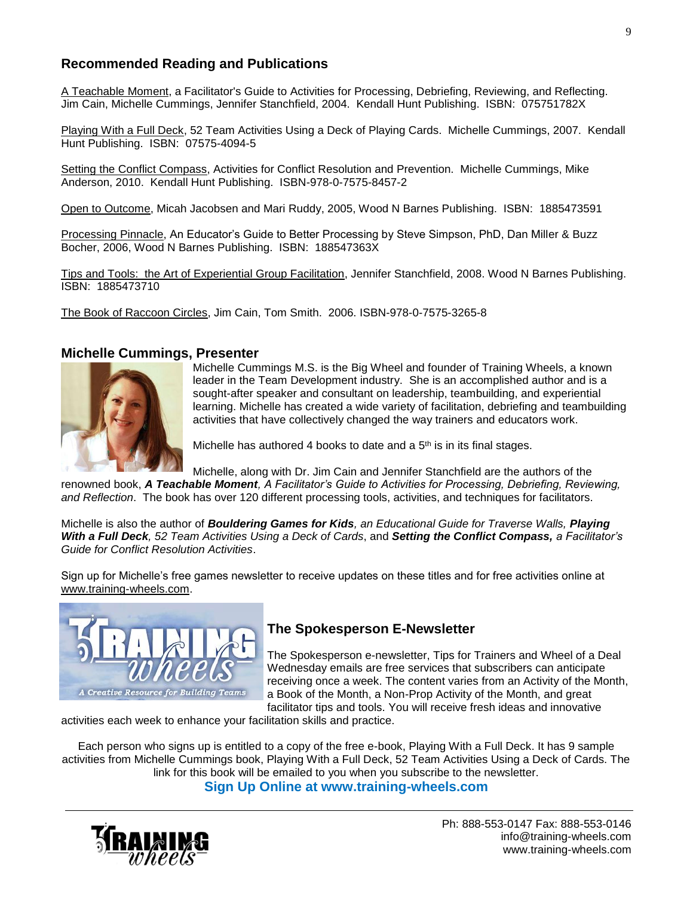#### **Recommended Reading and Publications**

A Teachable Moment, a Facilitator's Guide to Activities for Processing, Debriefing, Reviewing, and Reflecting. Jim Cain, Michelle Cummings, Jennifer Stanchfield, 2004. Kendall Hunt Publishing. ISBN: 075751782X

Playing With a Full Deck, 52 Team Activities Using a Deck of Playing Cards. Michelle Cummings, 2007. Kendall Hunt Publishing. ISBN: 07575-4094-5

Setting the Conflict Compass, Activities for Conflict Resolution and Prevention. Michelle Cummings, Mike Anderson, 2010. Kendall Hunt Publishing. ISBN-978-0-7575-8457-2

Open to Outcome, Micah Jacobsen and Mari Ruddy, 2005, Wood N Barnes Publishing. ISBN: 1885473591

Processing Pinnacle, An Educator's Guide to Better Processing by Steve Simpson, PhD, Dan Miller & Buzz Bocher, 2006, Wood N Barnes Publishing. ISBN: 188547363X

Tips and Tools: the Art of Experiential Group Facilitation, Jennifer Stanchfield, 2008. Wood N Barnes Publishing. ISBN: 1885473710

The Book of Raccoon Circles, Jim Cain, Tom Smith. 2006. ISBN-978-0-7575-3265-8

#### **Michelle Cummings, Presenter**



Michelle Cummings M.S. is the Big Wheel and founder of Training Wheels, a known leader in the Team Development industry. She is an accomplished author and is a sought-after speaker and consultant on leadership, teambuilding, and experiential learning. Michelle has created a wide variety of facilitation, debriefing and teambuilding activities that have collectively changed the way trainers and educators work.

Michelle has authored 4 books to date and a  $5<sup>th</sup>$  is in its final stages.

Michelle, along with Dr. Jim Cain and Jennifer Stanchfield are the authors of the renowned book, *A Teachable Moment, A Facilitator's Guide to Activities for Processing, Debriefing, Reviewing, and Reflection*. The book has over 120 different processing tools, activities, and techniques for facilitators.

Michelle is also the author of *Bouldering Games for Kids, an Educational Guide for Traverse Walls, Playing With a Full Deck, 52 Team Activities Using a Deck of Cards*, and *Setting the Conflict Compass, a Facilitator's Guide for Conflict Resolution Activities*.

Sign up for Michelle's free games newsletter to receive updates on these titles and for free activities online at [www.training-wheels.com.](http://www.training-wheels.com/)



#### **The Spokesperson E-Newsletter**

The Spokesperson e-newsletter, Tips for Trainers and Wheel of a Deal Wednesday emails are free services that subscribers can anticipate receiving once a week. The content varies from an Activity of the Month, a Book of the Month, a Non-Prop Activity of the Month, and great facilitator tips and tools. You will receive fresh ideas and innovative

activities each week to enhance your facilitation skills and practice.

Each person who signs up is entitled to a copy of the free e-book, Playing With a Full Deck. It has 9 sample activities from Michelle Cummings book, Playing With a Full Deck, 52 Team Activities Using a Deck of Cards. The link for this book will be emailed to you when you subscribe to the newsletter.

**Sign Up Online at www.training-wheels.com**